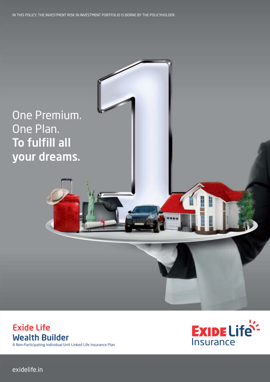IN THIS POLICY, THE INVESTMENT RISK IN INVESTMENT PORTFOLIO IS BORNE BY THE POLICYHOLDER.



# Exide Life Wealth Builder

A Non–Participating Individual Unit Linked Life Insurance Plan



exidelife.in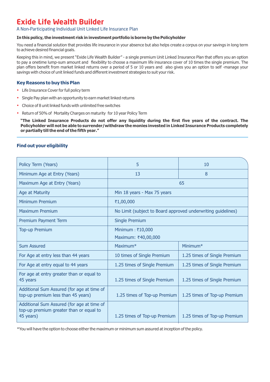# **Exide Life Wealth Builder**

## A Non–Participating Individual Unit Linked Life Insurance Plan

#### **In this policy, the investment risk in investment portfolio is borne by the Policyholder**

You need a financial solution that provides life insurance in your absence but also helps create a corpus on your savings in long term to achieve desired financial goals.

Keeping this in mind, we present "Exide Life Wealth Builder" - a single premium Unit Linked Insurance Plan that offers you an option to pay a onetime lump-sum amount and flexibility to choose a maximum life insurance cover of 10 times the single premium. The plan offers benefit from market linked returns over a period of 5 or 10 years and also gives you an option to self -manage your savings with choice of unit linked funds and different investment strategies to suit your risk.

#### **Key Reasons to buy this Plan**

- Life Insurance Cover for full policy term
- Single Pay plan with an opportunity to earn market linked returns
- Choice of 8 unit linked funds with unlimited free switches
- Return of 50% of Mortality Charges on maturity for 10 year Policy Term

**"The Linked Insurance Products do not offer any liquidity during the first five years of the contract. The Policyholder will not be able to surrender/withdraw the monies invested in Linked Insurance Products completely or partially till the end of the fifth year."** 

## **Find out your eligibility**

| Policy Term (Years)                                                                                | 5                                                            | 10                           |  |
|----------------------------------------------------------------------------------------------------|--------------------------------------------------------------|------------------------------|--|
| Minimum Age at Entry (Years)                                                                       | 13                                                           | 8                            |  |
| Maximum Age at Entry (Years)                                                                       |                                                              | 65                           |  |
| Age at Maturity                                                                                    | Min 18 years - Max 75 years                                  |                              |  |
| Minimum Premium                                                                                    | ₹1,00,000                                                    |                              |  |
| <b>Maximum Premium</b>                                                                             | No Limit (subject to Board approved underwriting guidelines) |                              |  |
| Premium Payment Term                                                                               | <b>Single Premium</b>                                        |                              |  |
| <b>Top-up Premium</b>                                                                              | Minimum: ₹10,000                                             |                              |  |
|                                                                                                    | Maximum: ₹40,00,000                                          |                              |  |
| <b>Sum Assured</b>                                                                                 | Maximum <sup>*</sup>                                         | Minimum $*$                  |  |
| For Age at entry less than 44 years                                                                | 10 times of Single Premium                                   | 1.25 times of Single Premium |  |
| For Age at entry equal to 44 years                                                                 | 1.25 times of Single Premium                                 | 1.25 times of Single Premium |  |
| For age at entry greater than or equal to<br>45 years                                              | 1.25 times of Single Premium<br>1.25 times of Single Premium |                              |  |
| Additional Sum Assured (for age at time of<br>top-up premium less than 45 years)                   | 1.25 times of Top-up Premium<br>1.25 times of Top-up Premium |                              |  |
| Additional Sum Assured (for age at time of<br>top-up premium greater than or equal to<br>45 years) | 1.25 times of Top-up Premium                                 | 1.25 times of Top-up Premium |  |

\*You will have the option to choose either the maximum or minimum sum assured at inception of the policy.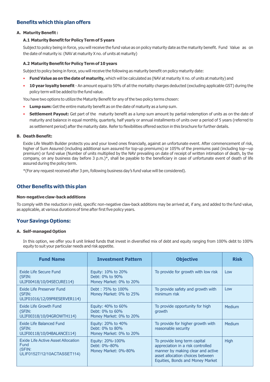# **Benefits which this plan offers**

#### **A. Maturity Benefit :**

#### **A.1 Maturity Benefit for Policy Term of 5 years**

Subject to policy being in force, you will receive the fund value as on policy maturity date as the maturity benefit. Fund Value as on the date of maturity is: (NAV at maturity X no. of units at maturity)

#### **A.2 Maturity Benefit for Policy Term of 10 years**

Subject to policy being in force, you will receive the following as maturity benefit on policy maturity date:

- **Fund Value as on the date of maturity,** which will be calculated as (NAV at maturity X no. of units at maturity) and
- **10 year loyalty benefit** An amount equal to 50% of all the mortality charges deducted (excluding applicable GST) during the policy term will be added to the fund value.

You have two options to utilize the Maturity Benefit for any of the two policy terms chosen:

- **Lump sum:** Get the entire maturity benefit as on the date of maturity as a lump sum.
- **Settlement Payout:** Get part of the maturity benefit as a lump sum amount by partial redemption of units as on the date of maturity and balance in equal monthly, quarterly, half yearly or annual installments of units over a period of 5 years (referred to as settlement period) after the maturity date. Refer to flexibilities offered section in this brochure for further details.

#### **B. Death Benefit:**

Exide Life Wealth Builder protects you and your loved ones financially, against an unfortunate event. After commencement of risk, higher of Sum Assured (including additional sum assured for top-up premiums) or 105% of the premiums paid (including top—up premium) or fund value (Number of units multiplied by the NAV prevailing on date of receipt of written intimation of death, by the company, on any business day before 3 p.m.)\*, shall be payable to the beneficiary in case of unfortunate event of death of life assured during the policy term.

\*(For any request received after 3 pm, following business day's fund value will be considered).

# **Other Benefits with this plan**

#### **Non-negative claw-back additions**

To comply with the reduction in yield, specific non-negative claw-back additions may be arrived at, if any, and added to the fund value, as applicable, at various durations of time after first five policy years.

# **Your Savings Options:**

#### **A. Self-managed Option**

In this option, we offer you 8 unit linked funds that invest in diversified mix of debt and equity ranging from 100% debt to 100% equity to suit your particular needs and risk appetite.

| <b>Fund Name</b>                                                                    | <b>Investment Pattern</b>                                        | <b>Objective</b>                                                                                                                                                               | <b>Risk</b> |
|-------------------------------------------------------------------------------------|------------------------------------------------------------------|--------------------------------------------------------------------------------------------------------------------------------------------------------------------------------|-------------|
| Exide Life Secure Fund<br>(SFIN:<br>ULIF00418/10/04SECURE114)                       | Equity: 10% to 20%<br>Debt: 0% to 90%<br>Money Market: 0% to 20% | To provide for growth with low risk                                                                                                                                            | Low         |
| Exide Life Preserver Fund<br>(SFIN:<br>ULIF01016/12/09PRESERVER114)                 | Debt: 75% to 100%<br>Money Market: 0% to 25%                     | To provide safety and growth with<br>minimum risk                                                                                                                              | Low         |
| Exide Life Growth Fund<br>(SFIN:<br>ULIF00318/10/04GROWTH114)                       | Equity: 40% to 60%<br>Debt: 0% to 60%<br>Money Market: 0% to 20% | To provide opportunity for high<br>growth                                                                                                                                      | Medium      |
| Exide Life Balanced Fund<br>(SFIN:<br>ULIF00118/10/04BALANCE114)                    | Equity: 20% to 40%<br>Debt: 0% to 80%<br>Money Market: 0% to 20% | To provide for higher growth with<br>reasonable security                                                                                                                       | Medium      |
| Exide Life Active Asset Allocation<br>Fund<br>(SFIN:<br>ULIF01527/12/10ACTASSET114) | Equity: 20%-100%<br>Debt: 0%-80%<br>Money Market: 0%-80%         | To provide long term capital<br>appreciation in a risk controlled<br>manner by making clear and active<br>asset allocation choices between<br>Equities, Bonds and Money Market | <b>High</b> |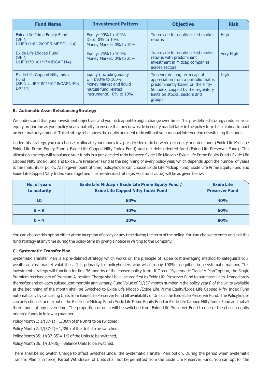| <b>Fund Name</b>                                                                         | <b>Investment Pattern</b>                                                                                                 | <b>Objective</b>                                                                                                                                                                             | <b>Risk</b>      |
|------------------------------------------------------------------------------------------|---------------------------------------------------------------------------------------------------------------------------|----------------------------------------------------------------------------------------------------------------------------------------------------------------------------------------------|------------------|
| Exide Life Prime Equity Fund<br>(SFIN:<br>ULIF01116/12/09PRIMEEQU114)                    | Equity: 90% to 100%<br>Debt: 0% to 10%<br>Money Market: 0% to 10%                                                         | To provide for equity linked market<br>returns                                                                                                                                               | High             |
| <b>Exide Life Midcap Fund</b><br>(SFIN:<br>ULIF01701/01/17MIDCAP114)                     | Equity: 75% to 100%<br>Money Market: 0% to 25%                                                                            | To provide for equity linked market<br>returns with predominant<br>investment in Midcap companies<br>across sectors.                                                                         | <b>Very High</b> |
| <b>Exide Life Capped Nifty Index</b><br>Fund<br>(SFIN:ULIF01801/10/18/CAPNIFIN<br>DX114) | Equity (including equity<br>ETF):90% to 100%<br>Money Market and liquid<br>mutual fund related<br>instruments): 0% to 10% | To generate long term capital<br>appreciation from a portfolio that is<br>predominantly based on the Nifty-<br>50 index, capped by the regulatory<br>limits on stocks, sectors and<br>groups | <b>High</b>      |

#### **B. Automatic Asset Rebalancing Strategy**

We understand that your investment objectives and your risk appetite might change over time. This pre-defined strategy reduces your equity proportion as your policy nears maturity to ensure that any downside in equity market later in the policy term has minimal impact on your maturity amount. This strategy rebalances the equity and debt ratio without your manual intervention of switching the funds.

Under this strategy, you can choose to allocate your money in a pre-decided ratio between our equity oriented funds (Exide Life Midcap / Exide Life Prime Equity Fund / Exide Life Capped Nifty Index Fund) and our debt oriented fund (Exide Life Preserver Fund). This allocation strategy will rebalance your funds in a pre-decided ratio between Exide Life Midcap / Exide Life Prime Equity Fund / Exide Life Capped Nifty Index Fund and Exide Life Preserver Fund at the beginning of every policy year, which depends upon the number of years to the maturity of policy. At no given point of time, policyholder can choose Exide Life Midcap Fund, Exide Life Prime Equity Fund and Exide Life Capped Nifty Index Fund together. The pre-decided ratio (as % of fund value) will be as given below:

| No. of years<br>to maturity | <b>Exide Life Midcap / Exide Life Prime Equity Fund /</b><br><b>Exide Life Capped Nifty Index Fund</b> | <b>Exide Life</b><br><b>Preserver Fund</b> |
|-----------------------------|--------------------------------------------------------------------------------------------------------|--------------------------------------------|
| 10                          | 60%                                                                                                    | 40%                                        |
| $5 - 9$                     | 40%                                                                                                    | 60%                                        |
| $0 - 4$                     | 20%                                                                                                    | 80%                                        |

You can choose this option either at the inception of policy or any time during the term of the policy. You can choose to enter and exit this fund strategy at any time during the policy term by giving a notice in writing to the Company.

# **C. Systematic Transfer Plan**

Systematic Transfer Plan is a pre-defined strategy which works on the principle of rupee cost averaging method to safeguard your wealth against market volatilities. It is primarily for policyholders who wish to pay 100% in equities in a systematic manner. This investment strategy will function for first 36 months of the chosen policy term. If Opted "Systematic Transfer Plan" option, the Single Premium received net of Premium Allocation Charge shall be allocated first to Exide Life Preserver Fund to purchase Units. Immediately thereafter and on each subsequent monthly anniversary, Fund Value of [1/(37-month number in the policy year)] of the Units available at the beginning of the month shall be Switched to Exide Life Midcap /Exide Life Prime Equity/Exide Life Capped Nifty Index Fund automatically by cancelling Units from Exide Life Preserver Fund till availability of Units in the Exide Life Preserver Fund. The Policyholder can only choose for one out of the Exide Life Midcap Fund /Exide Life Prime Equity Fund or Exide Life Capped Nifty Index Fund and not all three funds at any given time. The proportion of units will be switched from Exide Life Preserver Fund to one of the chosen equity oriented funds in following manner

Policy Month 1:  $1/(37-1)= 1/36$ th of the Units to be switched,

Policy Month 2:  $1/(37-2) = 1/35$ th of the Units to be switched,

Policy Month 35:  $1/(37-35) = 1/2$  of the Units to be switched,

Policy Month 36: 1/(37-36)= Balance Units to be switched.

There shall be no Switch Charge to affect Switches under the Systematic Transfer Plan option. During the period when Systematic Transfer Plan is in force, Partial Withdrawal of Units shall not be permitted from the Exide Life Preserver Fund. You can opt for the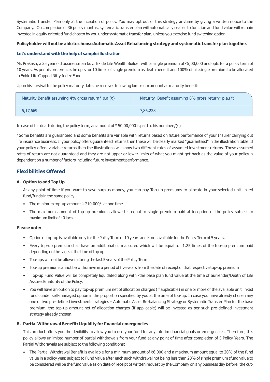Systematic Transfer Plan only at the inception of policy. You may opt out of this strategy anytime by giving a written notice to the Company. On completion of 36 policy months, systematic transfer plan will automatically ceases to function and fund value will remain invested in equity oriented fund chosen by you under systematic transfer plan, unless you exercise fund switching option.

#### **Policyholder will not be able to choose Automatic Asset Rebalancing strategy and systematic transfer plan together.**

#### **Let's understand with the help of sample illustration**

Mr. Prakash, a 35 year old businessman buys Exide Life Wealth Builder with a single premium of ₹5,00,000 and opts for a policy term of 10 years. As per his preference, he opts for 10 times of single premium as death benefit and 100% of his single premium to be allocated in Exide Life Capped Nifty Index Fund.

Upon his survival to the policy maturity date, he receives following lump sum amount as maturity benefit:

| Maturity Benefit assuming 4% gross return* p.a. $(\bar{z})$ | Maturity Benefit assuming 8% gross return* p.a. $(\bar{z})$ |
|-------------------------------------------------------------|-------------------------------------------------------------|
| 5,17,669                                                    | 7,86,228                                                    |

In case of his death during the policy term, an amount of  $\bar{\tau}$  50,00,000 is paid to his nominee/(s)

\*Some benefits are guaranteed and some benefits are variable with returns based on future performance of your Insurer carrying out life insurance business. If your policy offers guaranteed returns then these will be clearly marked "guaranteed" in the illustration table. If your policy offers variable returns then the illustrations will show two different rates of assumed investment returns. These assumed rates of return are not guaranteed and they are not upper or lower limits of what you might get back as the value of your policy is dependent on a number of factors including future investment performance.

# **Flexibilities Offered**

#### **A. Option to add Top Up**

At any point of time if you want to save surplus money, you can pay Top-up premiums to allocate in your selected unit linked fund/funds in the same policy.

- The minimum top-up amount is  $\bar{\tau}$ 10,000/- at one time
- The maximum amount of top-up premiums allowed is equal to single premium paid at inception of the policy subject to maximum limit of 40 lacs.

#### **Please note:**

- Option of top-up is available only for the Policy Term of 10 years and is not available for the Policy Term of 5 years.
- Every top-up premium shall have an additional sum assured which will be equal to 1.25 times of the top-up premium paid depending on the age at the time of top up.
- Top-ups will not be allowed during the last 5 years of the Policy Term.
- Top-up premium cannot be withdrawn in a period of five years from the date of receipt of that respective top-up premium
- Top-up Fund Value will be completely liquidated along with -the base plan fund value at the time of Surrender/Death of Life Assured/maturity of the Policy.
- You will have an option to pay top-up premium net of allocation charges (if applicable) in one or more of the available unit linked funds under self-managed option in the proportion specified by you at the time of top-up. In case you have already chosen any one of two pre-defined investment strategies – Automatic Asset Re-balancing Strategy or Systematic Transfer Plan for the base premium, the top-up amount net of allocation charges (if applicable) will be invested as per such pre-defined investment strategy already chosen.

#### **B. Partial Withdrawal Benefit: Liquidity for financial emergencies**

This product offers you the flexibility to allow you to use your fund for any interim financial goals or emergencies. Therefore, this policy allows unlimited number of partial withdrawals from your fund at any point of time after completion of 5 Policy Years. The Partial Withdrawals are subject to the following conditions:

The Partial Withdrawal Benefit is available for a minimum amount of ₹6,000 and a maximum amount equal to 20% of the fund value in a policy year, subject to Fund Value after each such withdrawal not being less than 20% of single premium (fund value to be considered will be the fund value as on date of receipt of written request by the Company on any business day before the cut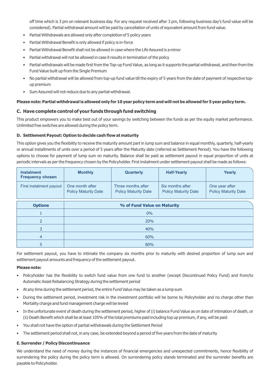off time which is 3 pm on relevant business day. For any request received after 3 pm, following business day's fund value will be considered). Partial withdrawal amount will be paid by cancellation of units of equivalent amount from fund value.

- Partial Withdrawals are allowed only after completion of 5 policy years
- Partial Withdrawal Benefit is only allowed if policy is in-force
- Partial Withdrawal Benefit shall not be allowed in case where the Life Assured is a minor
- Partial withdrawal will not be allowed in case it results in termination of the policy
- Partial withdrawals will be made first from the Top-up Fund Value, as long as it supports the partial withdrawal, and then from the Fund Value built up from the Single Premium
- No partial withdrawal will be allowed from top-up fund value till the expiry of 5 years from the date of payment of respective topup premium
- Sum Assured will not reduce due to any partial withdrawal.

#### **Please note: Partial withdrawal is allowed only for 10 year policy term and will not be allowed for 5 year policy term.**

#### **C. Have complete control of your fu nds through fund switching**

This product empowers you to make best out of your savings by switching between the funds as per the equity market performance. Unlimited free switches are allowed during the policy term.

#### **D. Settlement Payout: Option to decide cash flow at maturity**

This option gives you the flexibility to receive the maturity amount part in lump sum and balance in equal monthly, quarterly, half-yearly or annual installments of units over a period of 5 years after the Maturity date (referred as Settlement Period). You have the following options to choose for payment of lump sum on maturity. Balance shall be paid as settlement payout in equal proportion of units at periodic intervals as per the frequency chosen by the Policyholder. First instalment under settlement payout shall be made as follows:

| <b>Instalment</b><br><b>Frequency chosen</b> | <b>Monthly</b>                                 | Quarterly                                         | <b>Half-Yearly</b>                              | Yearly                                        |
|----------------------------------------------|------------------------------------------------|---------------------------------------------------|-------------------------------------------------|-----------------------------------------------|
| First instalment payout                      | One month after<br><b>Policy Maturity Date</b> | Three months after<br><b>Policy Maturity Date</b> | Six months after<br><b>Policy Maturity Date</b> | One year after<br><b>Policy Maturity Date</b> |
| <b>Options</b>                               | % of Fund Value on Maturity                    |                                                   |                                                 |                                               |
|                                              | $0\%$                                          |                                                   |                                                 |                                               |
| $\overline{2}$                               | 20%                                            |                                                   |                                                 |                                               |
| 3                                            | 40%                                            |                                                   |                                                 |                                               |
| $\overline{4}$                               | 60%                                            |                                                   |                                                 |                                               |
| 5                                            | 80%                                            |                                                   |                                                 |                                               |

For settlement payout, you have to intimate the company six months prior to maturity with desired proportion of lump sum and settlement payout amounts and frequency of the settlement payout.

#### **Please note:**

- Policyholder has the flexibility to switch fund value from one fund to another (except Discontinued Policy Fund) and from/to Automatic Asset Rebalancing Strategy during the settlement period
- At any time during the settlement period, the entire Fund Value may be taken as a lump sum
- During the settlement period, investment risk in the investment portfolio will be borne by Policyholder and no charge other than Mortality charge and fund management charge will be levied
- In the unfortunate event of death during the settlement period, higher of (i) balance Fund Value as on date of intimation of death, or (ii) Death Benefit which shall be at least 105% of the total premiums paid including top up premium, if any, will be paid
- You shall not have the option of partial withdrawals during the Settlement Period
- The settlement period shall not, in any case, be extended beyond a period of five years from the date of maturity

#### **E. Surrender / Policy Discontinuance**

We understand the need of money during the instances of financial emergencies and unexpected commitments, hence flexibility of surrendering the policy during the policy term is allowed. On surrendering policy stands terminated and the surrender benefits are payable to Policyholder.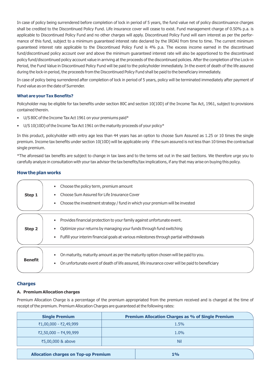In case of policy being surrendered before completion of lock in period of 5 years, the fund value net of policy discontinuance charges shall be credited to the Discontinued Policy Fund. Life insurance cover will cease to exist. Fund management charge of 0.50% p.a. is applicable to Discontinued Policy Fund and no other charges will apply. Discontinued Policy Fund will earn interest as per the performance of this fund, subject to a minimum guaranteed interest rate declared by the IRDAI from time to time. The current minimum guaranteed interest rate applicable to the Discontinued Policy Fund is 4% p.a. The excess income earned in the discontinued fund/discontinued policy account over and above the minimum guaranteed interest rate will also be apportioned to the discontinued policy fund/discontinued policy account value in arriving at the proceeds of the discontinued policies. After the completion of the Lock-in Period, the Fund Value in Discontinued Policy Fund will be paid to the policyholder immediately. In the event of death of the life assured during the lock-in period, the proceeds from the Discontinued Policy Fund shall be paid to the beneficiary immediately.

In case of policy being surrendered after completion of lock in period of 5 years, policy will be terminated immediately after payment of Fund value as on the date of Surrender.

#### **What are your Tax Benefits?**

Policyholder may be eligible for tax benefits under section 80C and section 10(10D) of the Income Tax Act, 1961, subject to provisions contained therein.

- U/S 80C of the Income Tax Act 1961 on your premiums paid\*
- U/S 10(10D) of the Income Tax Act 1961 on the maturity proceeds of your policy\*

In this product, policyholder with entry age less than 44 years has an option to choose Sum Assured as 1.25 or 10 times the single premium. Income tax benefits under section 10(10D) will be applicable only if the sum assured is not less than 10 times the contractual single premium.

\*The aforesaid tax benefits are subject to change in tax laws and to the terms set out in the said Sections. We therefore urge you to carefully analyze in consultation with your tax advisor the tax benefits/tax implications, if any that may arise on buying this policy.

#### **How the plan works**

| Step 1         | Choose the policy term, premium amount<br>Choose Sum Assured for Life Insurance Cover<br>Choose the investment strategy / fund in which your premium will be invested                                                                    |
|----------------|------------------------------------------------------------------------------------------------------------------------------------------------------------------------------------------------------------------------------------------|
| Step 2         | Provides financial protection to your family against unfortunate event.<br>Optimize your returns by managing your funds through fund switching<br>Fulfill your interim financial goals at various milestones through partial withdrawals |
| <b>Benefit</b> | On maturity, maturity amount as per the maturity option chosen will be paid to you.<br>On unfortunate event of death of life assured, life insurance cover will be paid to beneficiary                                                   |

#### **Charges**

#### **A. Premium Allocation charges**

Premium Allocation Charge is a percentage of the premium appropriated from the premium received and is charged at the time of receipt of the premium. Premium Allocation Charges are guaranteed at the following rates:

| <b>Single Premium</b>                       | <b>Premium Allocation Charges as % of Single Premium</b> |  |  |
|---------------------------------------------|----------------------------------------------------------|--|--|
| ₹1,00,000 - ₹2,49,999                       | 1.5%                                                     |  |  |
| ₹2,50,000 - ₹4,99,999                       | 1.0%                                                     |  |  |
| ₹5,00,000 & above                           | Nil                                                      |  |  |
| <b>Allocation charges on Top-up Premium</b> | $1\%$                                                    |  |  |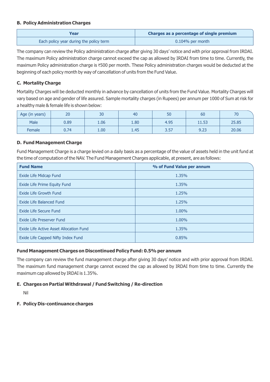# **B. Policy Administration Charges**

| Year                                    | Charges as a percentage of single premium |
|-----------------------------------------|-------------------------------------------|
| Each policy year during the policy term | $0.104\%$ per month                       |

The company can review the Policy administration charge after giving 30 days' notice and with prior approval from IRDAI. The maximum Policy administration charge cannot exceed the cap as allowed by IRDAI from time to time. Currently, the maximum Policy administration charge is ₹500 per month. These Policy administration charges would be deducted at the beginning of each policy month by way of cancellation of units from the Fund Value.

# **C. Mortality Charge**

Mortality Charges will be deducted monthly in advance by cancellation of units from the Fund Value. Mortality Charges will vary based on age and gender of life assured. Sample mortality charges (in Rupees) per annum per 1000 of Sum at risk for a healthy male & female life is shown below:

| Age (in years) | 20   | 30   | 40   | 50   | 60    | 70<br>-U |
|----------------|------|------|------|------|-------|----------|
| Male           | 0.89 | 1.06 | 1.80 | 4.95 | 11.53 | 25.85    |
| Female         | 0.74 | 1.00 | 1.45 | 3.57 | 9.23  | 20.06    |

# **D. Fund Management Charge**

Fund Management Charge is a charge levied on a daily basis as a percentage of the value of assets held in the unit fund at the time of computation of the NAV. The Fund Management Charges applicable, at present, are as follows:

| <b>Fund Name</b>                        | % of Fund Value per annum |
|-----------------------------------------|---------------------------|
| Exide Life Midcap Fund                  | 1.35%                     |
| Exide Life Prime Equity Fund            | 1.35%                     |
| Exide Life Growth Fund                  | 1.25%                     |
| Exide Life Balanced Fund                | 1.25%                     |
| Exide Life Secure Fund                  | 1.00%                     |
| Exide Life Preserver Fund               | 1.00%                     |
| Exide Life Active Asset Allocation Fund | 1.35%                     |
| Exide Life Capped Nifty Index Fund      | 0.85%                     |

# **Fund Management Charges on Discontinued Policy Fund: 0.5% per annum**

The company can review the fund management charge after giving 30 days' notice and with prior approval from IRDAI. The maximum fund management charge cannot exceed the cap as allowed by IRDAI from time to time. Currently the maximum cap allowed by IRDAI is 1.35%.

# **E. Charges on Partial Withdrawal / Fund Switching / Re-direction**

Nil

# **F. Policy Dis-continuance charges**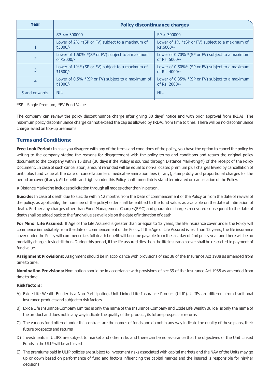| Year           | <b>Policy discontinuance charges</b>                            |                                                                  |  |  |
|----------------|-----------------------------------------------------------------|------------------------------------------------------------------|--|--|
|                | $SP \le 300000$                                                 | SP > 300000                                                      |  |  |
|                | Lower of 2% *(SP or FV) subject to a maximum of<br>₹3000/-      | Lower of 1% *(SP or FV) subject to a maximum of<br>Rs.6000/-     |  |  |
|                | Lower of 1.50% *(SP or FV) subject to a maximum<br>of ₹2000/-   | Lower of 0.70% *(SP or FV) subject to a maximum<br>of Rs. 5000/- |  |  |
| 3              | Lower of 1%* (SP or FV) subject to a maximum of<br>₹1500/-      | Lower of 0.50%* (SP or FV) subject to a maximum<br>of Rs. 4000/- |  |  |
| $\overline{4}$ | Lower of $0.5\%$ *(SP or FV) subject to a maximum of<br>₹1000/- | Lower of 0.35% *(SP or FV) subject to a maximum<br>of Rs. 2000/- |  |  |
| 5 and onwards  | <b>NIL</b>                                                      | <b>NIL</b>                                                       |  |  |

#### \*SP - Single Premium, \*FV-Fund Value

The company can review the policy discontinuance charge after giving 30 days' notice and with prior approval from IRDAI. The maximum policy discontinuance charge cannot exceed the cap as allowed by IRDAI from time to time. There will be no discontinuance charge levied on top-up premiums.

## **Terms and Conditions:**

**Free Look Period:** In case you disagree with any of the terms and conditions of the policy, you have the potion to cancel the policy by writing to the company stating the reasons for disagreement with the policy terms and conditions and return the original policy document to the company within 15 days (30 days if the Policy is sourced through Distance Marketing#) of the receipt of the Policy Document. In case of such cancellation, amount refunded will be equal to non-allocated premium plus charges levied by cancellation of units plus fund value at the date of cancellation less medical examination fees (if any), stamp duty and proportional charges for the period on cover (if any). All benefits and rights under this Policy shall immediately stand terminated on cancellation of the Policy.

# Distance Marketing includes solicitation through all modes other than in person.

**Suicide:** In case of death due to suicide within 12 months from the Date of commencement of the Policy or from the date of revival of the policy, as applicable, the nominee of the policyholder shall be entitled to the fund value, as available on the date of intimation of death. Further any charges other than Fund Management Charges(FMC) and guarantee charges recovered subsequent to the date of death shall be added back to the fund value as available on the date of intimation of death.

**For Minor Life Assured:** If Age of the Life Assured is greater than or equal to 12 years, the life insurance cover under the Policy will commence immediately from the date of commencement of the Policy. If the Age of Life Assured is less than 12 years, the life insurance cover under the Policy will commence i.e. full death benefit will become payable from the last day of 2nd policy year and there will be no mortality charges levied till then. During this period, if the life assured dies then the life insurance cover shall be restricted to payment of fund value.

**Assignment Provisions:** Assignment should be in accordance with provisions of sec 38 of the Insurance Act 1938 as amended from time to time.

**Nomination Provisions:** Nomination should be in accordance with provisions of sec 39 of the Insurance Act 1938 as amended from time to time.

#### **Risk factors:**

- A) Exide Life Wealth Builder is a Non-Participating, Unit Linked Life Insurance Product (ULIP). ULIPs are different from traditional insurance products and subject to risk factors
- B) Exide Life Insurance Company Limited is only the name of the Insurance Company and Exide Life Wealth Builder is only the name of the product and does not in any way indicate the quality of the product, its future prospect or returns
- C) The various fund offered under this contract are the names of funds and do not in any way indicate the quality of these plans, their future prospects and returns
- D) Investments in ULIPS are subject to market and other risks and there can be no assurance that the objectives of the Unit Linked Funds in the ULIP will be achieved
- E) The premiums paid in ULIP policies are subject to investment risks associated with capital markets and the NAV of the Units may go up or down based on performance of fund and factors influencing the capital market and the insured is responsible for his/her decisions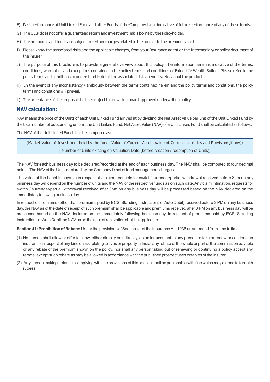- F) Past performance of Unit Linked Fund and other Funds of the Company is not indicative of future performance of any of these funds.
- G) The ULIP does not offer a guaranteed return and investment risk is borne by the Policyholder.
- H) The premiums and funds are subject to certain charges related to the fund or to the premiums paid
- I) Please know the associated risks and the applicable charges, from your Insurance agent or the Intermediary or policy document of the insurer
- J) The purpose of this brochure is to provide a general overview about this policy. The information herein is indicative of the terms, conditions, warranties and exceptions contained in the policy terms and conditions of Exide Life Wealth Builder. Please refer to the policy terms and conditions to understand in detail the associated risks, benefits, etc. about the product
- K) In the event of any inconsistency / ambiguity between the terms contained herein and the policy terms and conditions, the policy terms and conditions will prevail.
- L) The acceptance of the proposal shall be subject to prevailing board approved underwriting policy.

# **NAV calculation:**

NAV means the price of the Units of each Unit Linked Fund arrived at by dividing the Net Asset Value per unit of the Unit Linked Fund by the total number of outstanding units in the Unit Linked Fund. Net Asset Value (NAV) of a Unit Linked Fund shall be calculated as follows:

The NAV of the Unit Linked Fund shall be computed as:

( Number of Units existing on Valuation Date (before creation / redemption of Units)) (Market Value of Investment held by the fund+Value of Current Assets-Value of Current Liabilities and Provisions,if any)/

The NAV for each business day to be declared/recorded at the end of each business day. The NAV shall be computed to four decimal points. The NAV of the Units declared by the Company is net of fund management charges.

The value of the benefits payable in respect of a claim, requests for switch/surrender/partial withdrawal received before 3pm on any business day will depend on the number of units and the NAV of the respective funds as on such date. Any claim intimation, requests for switch / surrender/partial withdrawal received after 3pm on any business day will be processed based on the NAV declared on the immediately following business day.

In respect of premiums (other than premiums paid by ECS, Standing Instructions or Auto Debit) received before 3 PM on any business day, the NAV as of the date of receipt of such premium shall be applicable and premiums received after 3 PM on any business day will be processed based on the NAV declared on the immediately following business day. In respect of premiums paid by ECS, Standing Instructions or Auto Debit the NAV as on the date of realization shall be applicable.

**Section 41: Prohibition of Rebate:** Under the provisions of Section 41 of the Insurance Act 1938 as amended from time to time

- (1) No person shall allow or offer to allow, either directly or indirectly, as an inducement to any person to take or renew or continue an insurance in respect of any kind of risk relating to lives or property in India, any rebate of the whole or part of the commission payable or any rebate of the premium shown on the policy, nor shall any person taking out or renewing or continuing a policy accept any rebate, except such rebate as may be allowed in accordance with the published prospectuses or tables of the insurer:
- (2) Any person making default in complying with the provisions of this section shall be punishable with fine which may extend to ten lakh rupees.